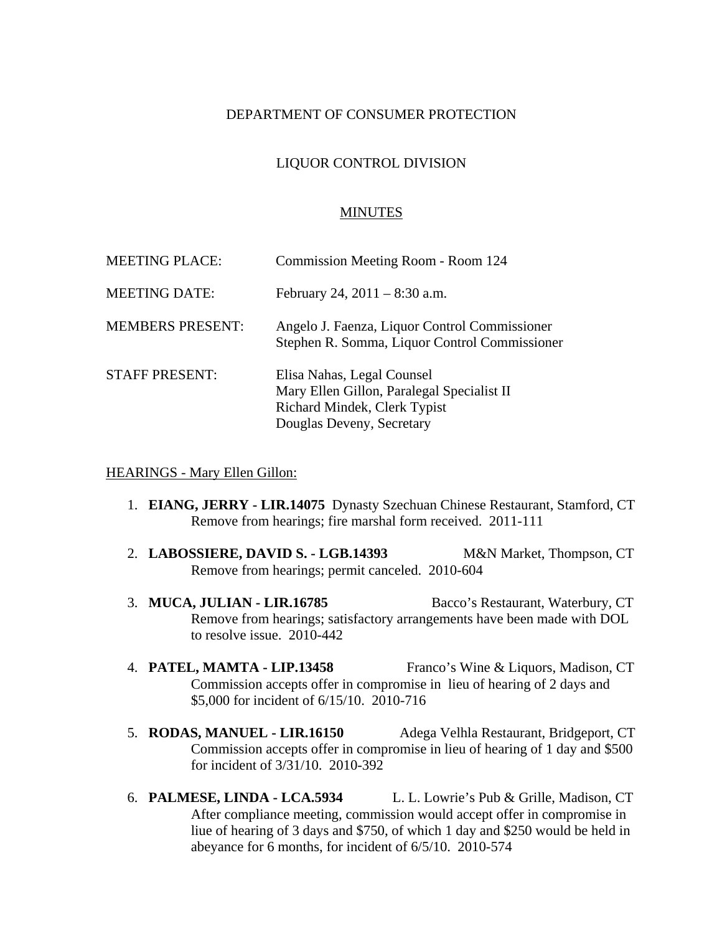### DEPARTMENT OF CONSUMER PROTECTION

## LIQUOR CONTROL DIVISION

#### MINUTES

| <b>MEETING PLACE:</b>   | Commission Meeting Room - Room 124                                                                                                    |
|-------------------------|---------------------------------------------------------------------------------------------------------------------------------------|
| <b>MEETING DATE:</b>    | February 24, $2011 - 8:30$ a.m.                                                                                                       |
| <b>MEMBERS PRESENT:</b> | Angelo J. Faenza, Liquor Control Commissioner<br>Stephen R. Somma, Liquor Control Commissioner                                        |
| <b>STAFF PRESENT:</b>   | Elisa Nahas, Legal Counsel<br>Mary Ellen Gillon, Paralegal Specialist II<br>Richard Mindek, Clerk Typist<br>Douglas Deveny, Secretary |

#### HEARINGS - Mary Ellen Gillon:

- 1. **EIANG, JERRY LIR.14075** Dynasty Szechuan Chinese Restaurant, Stamford, CT Remove from hearings; fire marshal form received. 2011-111
- 2. **LABOSSIERE, DAVID S. LGB.14393** M&N Market, Thompson, CT Remove from hearings; permit canceled. 2010-604
- 3. **MUCA, JULIAN LIR.16785** Bacco's Restaurant, Waterbury, CT Remove from hearings; satisfactory arrangements have been made with DOL to resolve issue. 2010-442
- 4. **PATEL, MAMTA LIP.13458** Franco's Wine & Liquors, Madison, CT Commission accepts offer in compromise in lieu of hearing of 2 days and \$5,000 for incident of 6/15/10. 2010-716
- 5. **RODAS, MANUEL LIR.16150** Adega Velhla Restaurant, Bridgeport, CT Commission accepts offer in compromise in lieu of hearing of 1 day and \$500 for incident of 3/31/10. 2010-392
- 6. **PALMESE, LINDA LCA.5934** L. L. Lowrie's Pub & Grille, Madison, CT After compliance meeting, commission would accept offer in compromise in liue of hearing of 3 days and \$750, of which 1 day and \$250 would be held in abeyance for 6 months, for incident of 6/5/10. 2010-574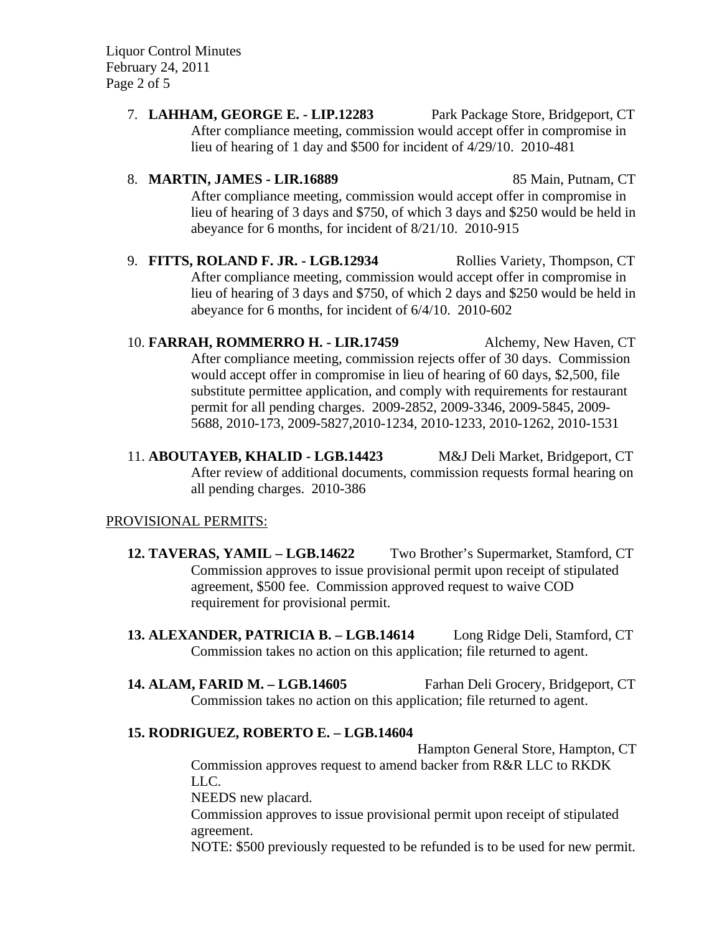Liquor Control Minutes February 24, 2011 Page 2 of 5

> 7. **LAHHAM, GEORGE E. - LIP.12283** Park Package Store, Bridgeport, CT After compliance meeting, commission would accept offer in compromise in lieu of hearing of 1 day and \$500 for incident of 4/29/10. 2010-481

> 8. **MARTIN, JAMES - LIR.16889** 85 Main, Putnam, CT After compliance meeting, commission would accept offer in compromise in lieu of hearing of 3 days and \$750, of which 3 days and \$250 would be held in abeyance for 6 months, for incident of 8/21/10. 2010-915

> 9. **FITTS, ROLAND F. JR. - LGB.12934** Rollies Variety, Thompson, CT After compliance meeting, commission would accept offer in compromise in lieu of hearing of 3 days and \$750, of which 2 days and \$250 would be held in abeyance for 6 months, for incident of 6/4/10. 2010-602

> 10. **FARRAH, ROMMERRO H. - LIR.17459** Alchemy, New Haven, CT After compliance meeting, commission rejects offer of 30 days. Commission would accept offer in compromise in lieu of hearing of 60 days, \$2,500, file substitute permittee application, and comply with requirements for restaurant permit for all pending charges. 2009-2852, 2009-3346, 2009-5845, 2009- 5688, 2010-173, 2009-5827,2010-1234, 2010-1233, 2010-1262, 2010-1531

> 11. **ABOUTAYEB, KHALID - LGB.14423** M&J Deli Market, Bridgeport, CT After review of additional documents, commission requests formal hearing on all pending charges. 2010-386

#### PROVISIONAL PERMITS:

- **12. TAVERAS, YAMIL LGB.14622** Two Brother's Supermarket, Stamford, CT Commission approves to issue provisional permit upon receipt of stipulated agreement, \$500 fee. Commission approved request to waive COD requirement for provisional permit.
- **13. ALEXANDER, PATRICIA B. LGB.14614** Long Ridge Deli, Stamford, CT Commission takes no action on this application; file returned to agent.
- **14. ALAM, FARID M. LGB.14605** Farhan Deli Grocery, Bridgeport, CT Commission takes no action on this application; file returned to agent.

#### **15. RODRIGUEZ, ROBERTO E. – LGB.14604**

Hampton General Store, Hampton, CT Commission approves request to amend backer from R&R LLC to RKDK LLC. NEEDS new placard.

Commission approves to issue provisional permit upon receipt of stipulated agreement.

NOTE: \$500 previously requested to be refunded is to be used for new permit.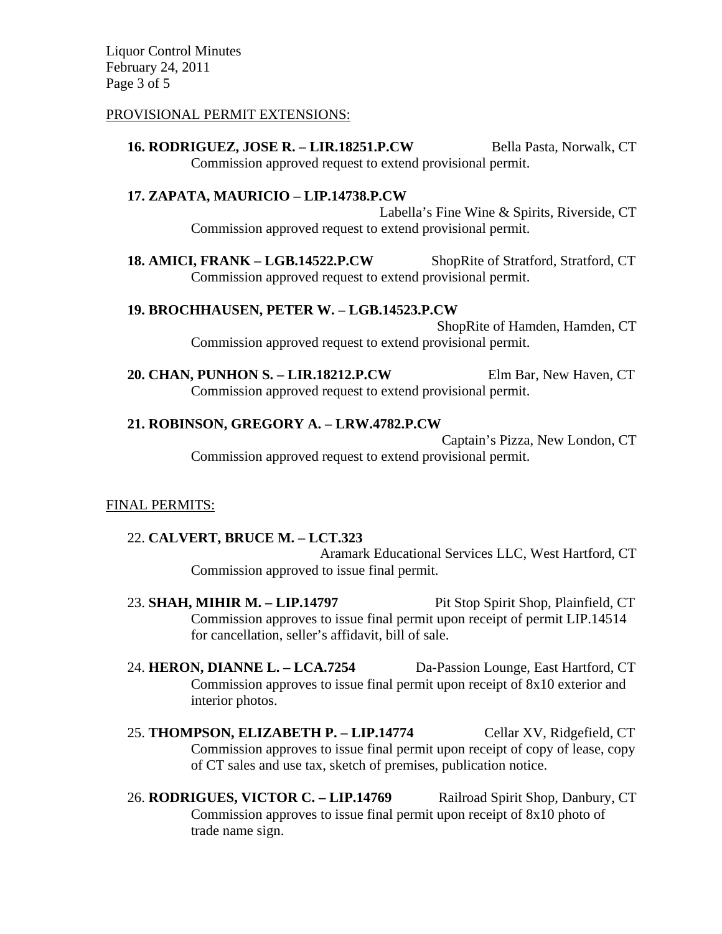Liquor Control Minutes February 24, 2011 Page 3 of 5

#### PROVISIONAL PERMIT EXTENSIONS:

**16. RODRIGUEZ, JOSE R. – LIR.18251.P.CW Bella Pasta, Norwalk, CT** Commission approved request to extend provisional permit.

#### **17. ZAPATA, MAURICIO – LIP.14738.P.CW**

Labella's Fine Wine & Spirits, Riverside, CT Commission approved request to extend provisional permit.

**18. AMICI, FRANK – LGB.14522.P.CW** ShopRite of Stratford, Stratford, CT Commission approved request to extend provisional permit.

#### **19. BROCHHAUSEN, PETER W. – LGB.14523.P.CW**

ShopRite of Hamden, Hamden, CT Commission approved request to extend provisional permit.

**20. CHAN, PUNHON S. – LIR.18212.P.CW** Elm Bar, New Haven, CT Commission approved request to extend provisional permit.

#### **21. ROBINSON, GREGORY A. – LRW.4782.P.CW**

Captain's Pizza, New London, CT Commission approved request to extend provisional permit.

#### FINAL PERMITS:

#### 22. **CALVERT, BRUCE M. – LCT.323**

Aramark Educational Services LLC, West Hartford, CT Commission approved to issue final permit.

- 23. **SHAH, MIHIR M. LIP.14797** Pit Stop Spirit Shop, Plainfield, CT Commission approves to issue final permit upon receipt of permit LIP.14514 for cancellation, seller's affidavit, bill of sale.
- 24. **HERON, DIANNE L. LCA.7254** Da-Passion Lounge, East Hartford, CT Commission approves to issue final permit upon receipt of 8x10 exterior and interior photos.
- 25. **THOMPSON, ELIZABETH P. LIP.14774** Cellar XV, Ridgefield, CT Commission approves to issue final permit upon receipt of copy of lease, copy of CT sales and use tax, sketch of premises, publication notice.
- 26. **RODRIGUES, VICTOR C. LIP.14769** Railroad Spirit Shop, Danbury, CT Commission approves to issue final permit upon receipt of 8x10 photo of trade name sign.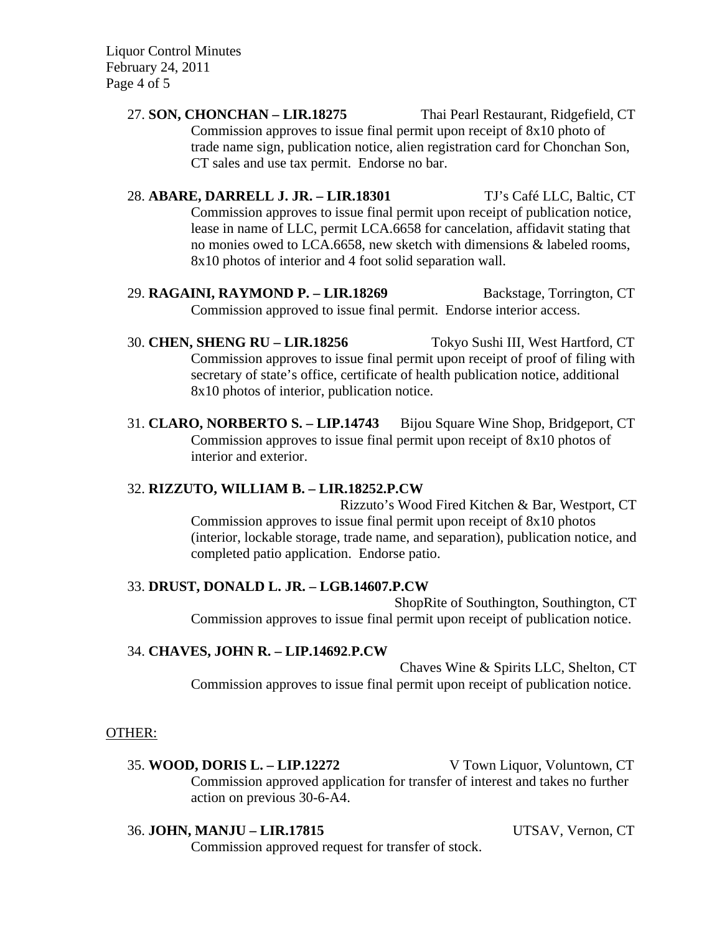Liquor Control Minutes February 24, 2011 Page 4 of 5

> 27. **SON, CHONCHAN – LIR.18275** Thai Pearl Restaurant, Ridgefield, CT Commission approves to issue final permit upon receipt of 8x10 photo of trade name sign, publication notice, alien registration card for Chonchan Son, CT sales and use tax permit. Endorse no bar.

> 28. **ABARE, DARRELL J. JR. – LIR.18301** TJ's Café LLC, Baltic, CT Commission approves to issue final permit upon receipt of publication notice, lease in name of LLC, permit LCA.6658 for cancelation, affidavit stating that no monies owed to LCA.6658, new sketch with dimensions & labeled rooms, 8x10 photos of interior and 4 foot solid separation wall.

- 29. **RAGAINI, RAYMOND P. LIR.18269** Backstage, Torrington, CT Commission approved to issue final permit. Endorse interior access.
- 30. **CHEN, SHENG RU LIR.18256** Tokyo Sushi III, West Hartford, CT Commission approves to issue final permit upon receipt of proof of filing with secretary of state's office, certificate of health publication notice, additional 8x10 photos of interior, publication notice.
- 31. **CLARO, NORBERTO S. LIP.14743** Bijou Square Wine Shop, Bridgeport, CT Commission approves to issue final permit upon receipt of 8x10 photos of interior and exterior.

## 32. **RIZZUTO, WILLIAM B. – LIR.18252.P.CW**

Rizzuto's Wood Fired Kitchen & Bar, Westport, CT Commission approves to issue final permit upon receipt of 8x10 photos (interior, lockable storage, trade name, and separation), publication notice, and completed patio application. Endorse patio.

## 33. **DRUST, DONALD L. JR. – LGB.14607.P.CW**

ShopRite of Southington, Southington, CT Commission approves to issue final permit upon receipt of publication notice.

## 34. **CHAVES, JOHN R. – LIP.14692**.**P.CW**

Chaves Wine & Spirits LLC, Shelton, CT Commission approves to issue final permit upon receipt of publication notice.

## OTHER:

## 35. **WOOD, DORIS L. – LIP.12272** V Town Liquor, Voluntown, CT

Commission approved application for transfer of interest and takes no further action on previous 30-6-A4.

#### 36. **JOHN, MANJU – LIR.17815** UTSAV, Vernon, CT

Commission approved request for transfer of stock.